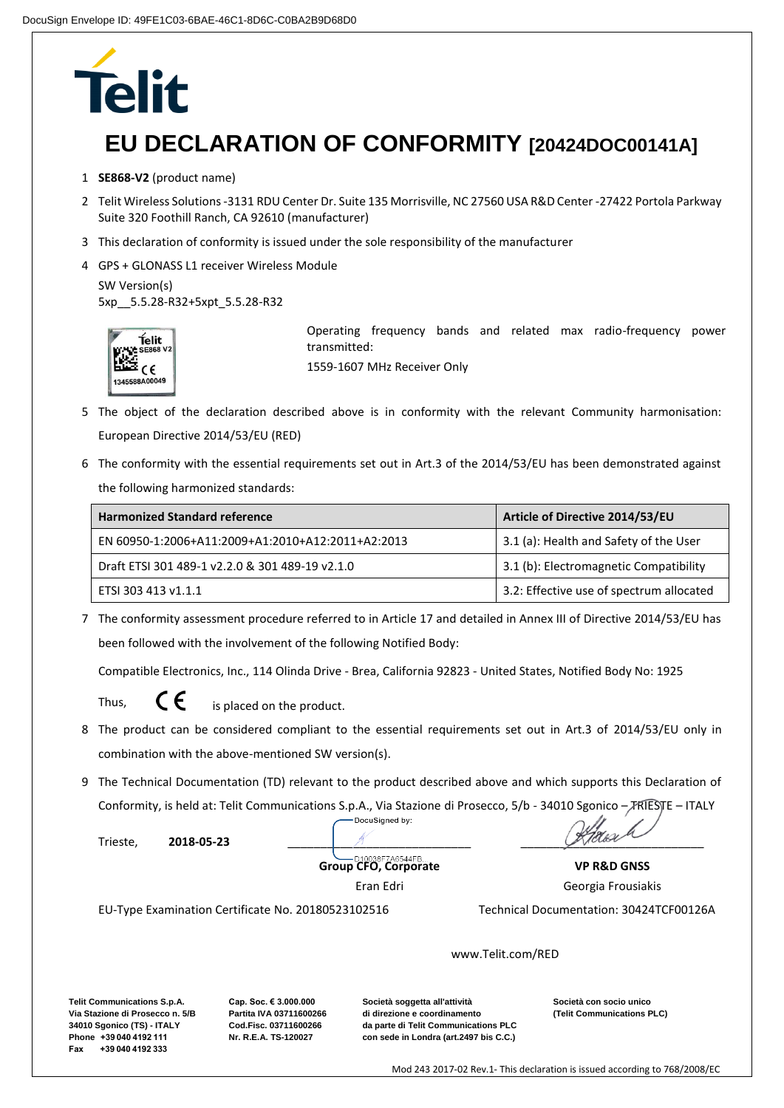## **Telit**

## **EU DECLARATION OF CONFORMITY [20424DOC00141A]**

- 1 **SE868-V2** (product name)
- 2 Telit Wireless Solutions -3131 RDU Center Dr. Suite 135 Morrisville, NC 27560 USA R&D Center -27422 Portola Parkway Suite 320 Foothill Ranch, CA 92610 (manufacturer)
- 3 This declaration of conformity is issued under the sole responsibility of the manufacturer
- 4 GPS + GLONASS L1 receiver Wireless Module

```
SW Version(s) 
5xp__5.5.28-R32+5xpt_5.5.28-R32
```


Operating frequency bands and related max radio-frequency power transmitted: 1559-1607 MHz Receiver Only

- 5 The object of the declaration described above is in conformity with the relevant Community harmonisation: European Directive 2014/53/EU (RED)
- 6 The conformity with the essential requirements set out in Art.3 of the 2014/53/EU has been demonstrated against the following harmonized standards:

| <b>Harmonized Standard reference</b>              | Article of Directive 2014/53/EU          |
|---------------------------------------------------|------------------------------------------|
| EN 60950-1:2006+A11:2009+A1:2010+A12:2011+A2:2013 | 3.1 (a): Health and Safety of the User   |
| Draft ETSI 301 489-1 v2.2.0 & 301 489-19 v2.1.0   | 3.1 (b): Electromagnetic Compatibility   |
| ETSI 303 413 v1.1.1                               | 3.2: Effective use of spectrum allocated |

7 The conformity assessment procedure referred to in Article 17 and detailed in Annex III of Directive 2014/53/EU has been followed with the involvement of the following Notified Body:

Compatible Electronics, Inc., 114 Olinda Drive - Brea, California 92823 - United States, Notified Body No: 1925

Thus,

 $\zeta \epsilon$  is placed on the product.

- 8 The product can be considered compliant to the essential requirements set out in Art.3 of 2014/53/EU only in combination with the above-mentioned SW version(s).
- 9 The Technical Documentation (TD) relevant to the product described above and which supports this Declaration of Conformity, is held at: Telit Communications S.p.A., Via Stazione di Prosecco, 5/b - 34010 Sgonico – TRIESTE – ITALY

Trieste, **2018-05-23** \_\_\_\_\_\_\_\_\_\_\_\_\_\_\_\_\_\_\_\_\_\_\_\_\_\_\_\_ \_\_\_\_\_\_\_\_\_\_\_\_\_\_\_\_\_\_\_\_\_\_\_\_\_\_\_\_

**Group CFO, Corporate** 

Eran Edri

EU-Type Examination Certificate No. 20180523102516 Technical Documentation: 30424TCF00126A

Georgia Frousiakis

**VP R&D GNSS**

www.Telit.com/RED

**Telit Communications S.p.A. Via Stazione di Prosecco n. 5/B 34010 Sgonico (TS) - ITALY Phone +39 040 4192 111 Fax +39 040 4192 333**

**Cap. Soc. € 3.000.000 Partita IVA 03711600266 Cod.Fisc. 03711600266 Nr. R.E.A. TS-120027**

**Società soggetta all'attività di direzione e coordinamento da parte di Telit Communications PLC con sede in Londra (art.2497 bis C.C.)**

**Società con socio unico (Telit Communications PLC)**

Mod 243 2017-02 Rev.1- This declaration is issued according to 768/2008/EC